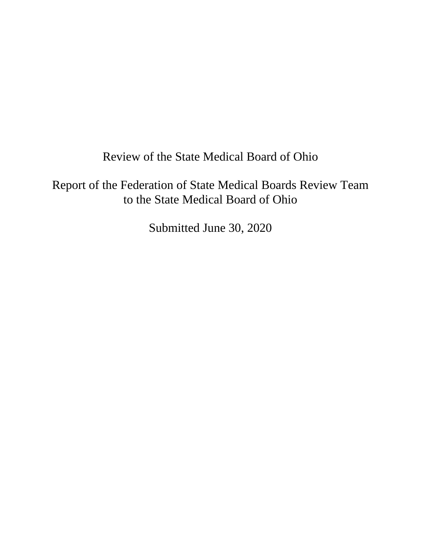Review of the State Medical Board of Ohio

Report of the Federation of State Medical Boards Review Team to the State Medical Board of Ohio

Submitted June 30, 2020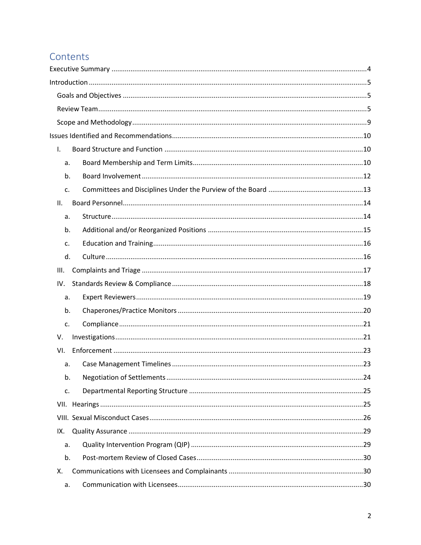# Contents

| $\mathbf{L}$   |  |
|----------------|--|
| a.             |  |
| b.             |  |
| C <sub>1</sub> |  |
| II.            |  |
| а.             |  |
| b.             |  |
| c.             |  |
| d.             |  |
| III.           |  |
| IV.            |  |
| a.             |  |
| b.             |  |
| c.             |  |
| V.             |  |
| VI.            |  |
| a.             |  |
| b.             |  |
| c.             |  |
|                |  |
|                |  |
| IX.            |  |
| а.             |  |
| b.             |  |
| Χ.             |  |
| a.             |  |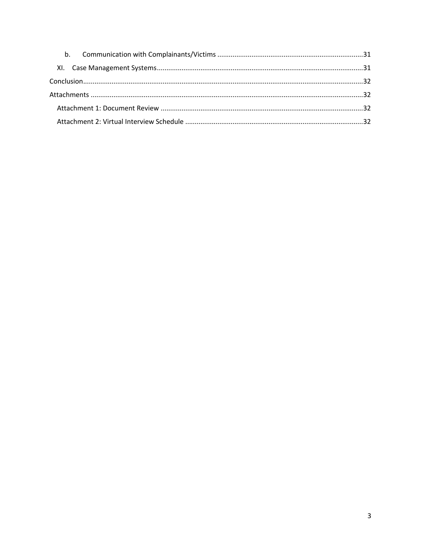| b <sub>1</sub> |  |
|----------------|--|
|                |  |
|                |  |
|                |  |
|                |  |
|                |  |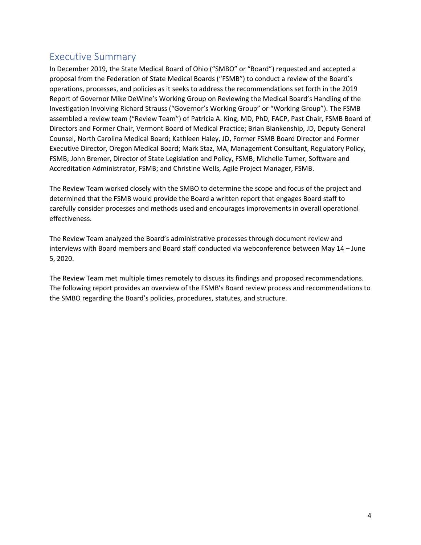# <span id="page-3-0"></span>Executive Summary

In December 2019, the State Medical Board of Ohio ("SMBO" or "Board") requested and accepted a proposal from the Federation of State Medical Boards ("FSMB") to conduct a review of the Board's operations, processes, and policies as it seeks to address the recommendations set forth in the 2019 Report of Governor Mike DeWine's Working Group on Reviewing the Medical Board's Handling of the Investigation Involving Richard Strauss ("Governor's Working Group" or "Working Group"). The FSMB assembled a review team ("Review Team") of Patricia A. King, MD, PhD, FACP, Past Chair, FSMB Board of Directors and Former Chair, Vermont Board of Medical Practice; Brian Blankenship, JD, Deputy General Counsel, North Carolina Medical Board; Kathleen Haley, JD, Former FSMB Board Director and Former Executive Director, Oregon Medical Board; Mark Staz, MA, Management Consultant, Regulatory Policy, FSMB; John Bremer, Director of State Legislation and Policy, FSMB; Michelle Turner, Software and Accreditation Administrator, FSMB; and Christine Wells, Agile Project Manager, FSMB.

The Review Team worked closely with the SMBO to determine the scope and focus of the project and determined that the FSMB would provide the Board a written report that engages Board staff to carefully consider processes and methods used and encourages improvements in overall operational effectiveness.

The Review Team analyzed the Board's administrative processes through document review and interviews with Board members and Board staff conducted via webconference between May 14 – June 5, 2020.

The Review Team met multiple times remotely to discuss its findings and proposed recommendations. The following report provides an overview of the FSMB's Board review process and recommendations to the SMBO regarding the Board's policies, procedures, statutes, and structure.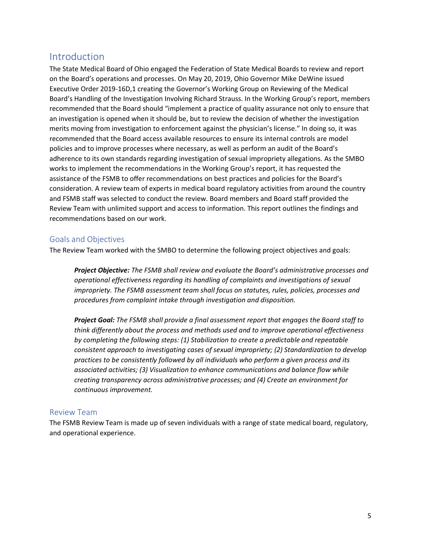# <span id="page-4-0"></span>Introduction

The State Medical Board of Ohio engaged the Federation of State Medical Boards to review and report on the Board's operations and processes. On May 20, 2019, Ohio Governor Mike DeWine issued Executive Order 2019-16D,1 creating the Governor's Working Group on Reviewing of the Medical Board's Handling of the Investigation Involving Richard Strauss. In the Working Group's report, members recommended that the Board should "implement a practice of quality assurance not only to ensure that an investigation is opened when it should be, but to review the decision of whether the investigation merits moving from investigation to enforcement against the physician's license." In doing so, it was recommended that the Board access available resources to ensure its internal controls are model policies and to improve processes where necessary, as well as perform an audit of the Board's adherence to its own standards regarding investigation of sexual impropriety allegations. As the SMBO works to implement the recommendations in the Working Group's report, it has requested the assistance of the FSMB to offer recommendations on best practices and policies for the Board's consideration. A review team of experts in medical board regulatory activities from around the country and FSMB staff was selected to conduct the review. Board members and Board staff provided the Review Team with unlimited support and access to information. This report outlines the findings and recommendations based on our work.

### <span id="page-4-1"></span>Goals and Objectives

The Review Team worked with the SMBO to determine the following project objectives and goals:

*Project Objective: The FSMB shall review and evaluate the Board's administrative processes and operational effectiveness regarding its handling of complaints and investigations of sexual impropriety. The FSMB assessment team shall focus on statutes, rules, policies, processes and procedures from complaint intake through investigation and disposition.*

*Project Goal: The FSMB shall provide a final assessment report that engages the Board staff to think differently about the process and methods used and to improve operational effectiveness by completing the following steps: (1) Stabilization to create a predictable and repeatable consistent approach to investigating cases of sexual impropriety; (2) Standardization to develop practices to be consistently followed by all individuals who perform a given process and its associated activities; (3) Visualization to enhance communications and balance flow while creating transparency across administrative processes; and (4) Create an environment for continuous improvement.* 

### <span id="page-4-2"></span>Review Team

The FSMB Review Team is made up of seven individuals with a range of state medical board, regulatory, and operational experience.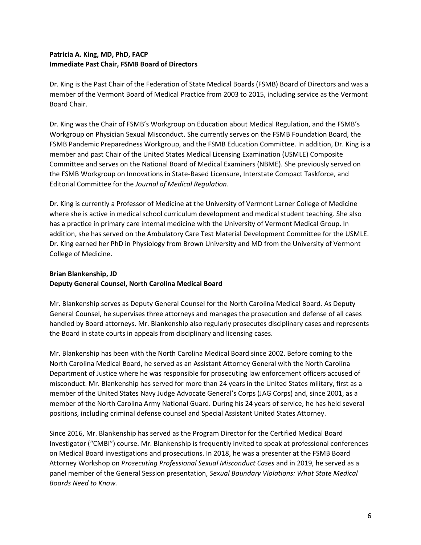## **Patricia A. King, MD, PhD, FACP Immediate Past Chair, FSMB Board of Directors**

Dr. King is the Past Chair of the Federation of State Medical Boards (FSMB) Board of Directors and was a member of the Vermont Board of Medical Practice from 2003 to 2015, including service as the Vermont Board Chair.

Dr. King was the Chair of FSMB's Workgroup on Education about Medical Regulation, and the FSMB's Workgroup on Physician Sexual Misconduct. She currently serves on the FSMB Foundation Board, the FSMB Pandemic Preparedness Workgroup, and the FSMB Education Committee. In addition, Dr. King is a member and past Chair of the United States Medical Licensing Examination (USMLE) Composite Committee and serves on the National Board of Medical Examiners (NBME). She previously served on the FSMB Workgroup on Innovations in State-Based Licensure, Interstate Compact Taskforce, and Editorial Committee for the *Journal of Medical Regulation*.

Dr. King is currently a Professor of Medicine at the University of Vermont Larner College of Medicine where she is active in medical school curriculum development and medical student teaching. She also has a practice in primary care internal medicine with the University of Vermont Medical Group. In addition, she has served on the Ambulatory Care Test Material Development Committee for the USMLE. Dr. King earned her PhD in Physiology from Brown University and MD from the University of Vermont College of Medicine.

## **Brian Blankenship, JD Deputy General Counsel, North Carolina Medical Board**

Mr. Blankenship serves as Deputy General Counsel for the North Carolina Medical Board. As Deputy General Counsel, he supervises three attorneys and manages the prosecution and defense of all cases handled by Board attorneys. Mr. Blankenship also regularly prosecutes disciplinary cases and represents the Board in state courts in appeals from disciplinary and licensing cases.

Mr. Blankenship has been with the North Carolina Medical Board since 2002. Before coming to the North Carolina Medical Board, he served as an Assistant Attorney General with the North Carolina Department of Justice where he was responsible for prosecuting law enforcement officers accused of misconduct. Mr. Blankenship has served for more than 24 years in the United States military, first as a member of the United States Navy Judge Advocate General's Corps (JAG Corps) and, since 2001, as a member of the North Carolina Army National Guard. During his 24 years of service, he has held several positions, including criminal defense counsel and Special Assistant United States Attorney.

Since 2016, Mr. Blankenship has served as the Program Director for the Certified Medical Board Investigator ("CMBI") course. Mr. Blankenship is frequently invited to speak at professional conferences on Medical Board investigations and prosecutions. In 2018, he was a presenter at the FSMB Board Attorney Workshop on *Prosecuting Professional Sexual Misconduct Cases* and in 2019, he served as a panel member of the General Session presentation, *Sexual Boundary Violations: What State Medical Boards Need to Know.*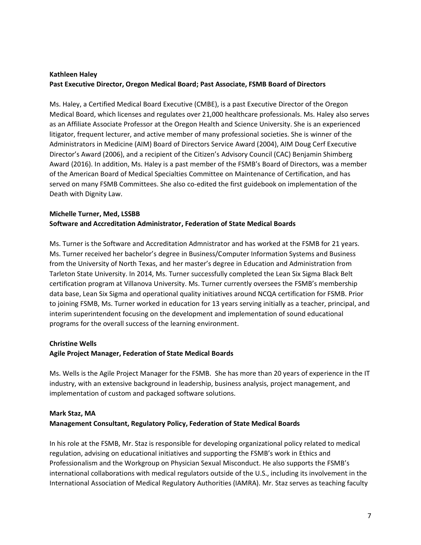## **Kathleen Haley Past Executive Director, Oregon Medical Board; Past Associate, FSMB Board of Directors**

Ms. Haley, a Certified Medical Board Executive (CMBE), is a past Executive Director of the Oregon Medical Board, which licenses and regulates over 21,000 healthcare professionals. Ms. Haley also serves as an Affiliate Associate Professor at the Oregon Health and Science University. She is an experienced litigator, frequent lecturer, and active member of many professional societies. She is winner of the Administrators in Medicine (AIM) Board of Directors Service Award (2004), AIM Doug Cerf Executive Director's Award (2006), and a recipient of the Citizen's Advisory Council (CAC) Benjamin Shimberg Award (2016). In addition, Ms. Haley is a past member of the FSMB's Board of Directors, was a member of the American Board of Medical Specialties Committee on Maintenance of Certification, and has served on many FSMB Committees. She also co-edited the first guidebook on implementation of the Death with Dignity Law.

## **Michelle Turner, Med, LSSBB Software and Accreditation Administrator, Federation of State Medical Boards**

Ms. Turner is the Software and Accreditation Admnistrator and has worked at the FSMB for 21 years. Ms. Turner received her bachelor's degree in Business/Computer Information Systems and Business from the University of North Texas, and her master's degree in Education and Administration from Tarleton State University. In 2014, Ms. Turner successfully completed the Lean Six Sigma Black Belt certification program at Villanova University. Ms. Turner currently oversees the FSMB's membership data base, Lean Six Sigma and operational quality initiatives around NCQA certification for FSMB. Prior to joining FSMB, Ms. Turner worked in education for 13 years serving initially as a teacher, principal, and interim superintendent focusing on the development and implementation of sound educational programs for the overall success of the learning environment.

#### **Christine Wells**

### **Agile Project Manager, Federation of State Medical Boards**

Ms. Wells is the Agile Project Manager for the FSMB. She has more than 20 years of experience in the IT industry, with an extensive background in leadership, business analysis, project management, and implementation of custom and packaged software solutions.

#### **Mark Staz, MA**

#### **Management Consultant, Regulatory Policy, Federation of State Medical Boards**

In his role at the FSMB, Mr. Staz is responsible for developing organizational policy related to medical regulation, advising on educational initiatives and supporting the FSMB's work in Ethics and Professionalism and the Workgroup on Physician Sexual Misconduct. He also supports the FSMB's international collaborations with medical regulators outside of the U.S., including its involvement in the International Association of Medical Regulatory Authorities (IAMRA). Mr. Staz serves as teaching faculty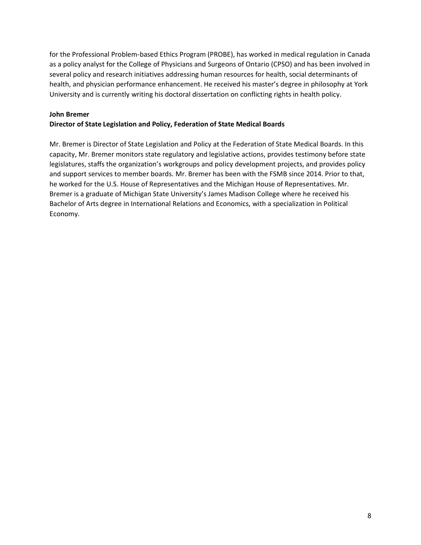for the Professional Problem-based Ethics Program (PROBE), has worked in medical regulation in Canada as a policy analyst for the College of Physicians and Surgeons of Ontario (CPSO) and has been involved in several policy and research initiatives addressing human resources for health, social determinants of health, and physician performance enhancement. He received his master's degree in philosophy at York University and is currently writing his doctoral dissertation on conflicting rights in health policy.

#### **John Bremer**

### **Director of State Legislation and Policy, Federation of State Medical Boards**

Mr. Bremer is Director of State Legislation and Policy at the Federation of State Medical Boards. In this capacity, Mr. Bremer monitors state regulatory and legislative actions, provides testimony before state legislatures, staffs the organization's workgroups and policy development projects, and provides policy and support services to member boards. Mr. Bremer has been with the FSMB since 2014. Prior to that, he worked for the U.S. House of Representatives and the Michigan House of Representatives. Mr. Bremer is a graduate of Michigan State University's James Madison College where he received his Bachelor of Arts degree in International Relations and Economics, with a specialization in Political Economy.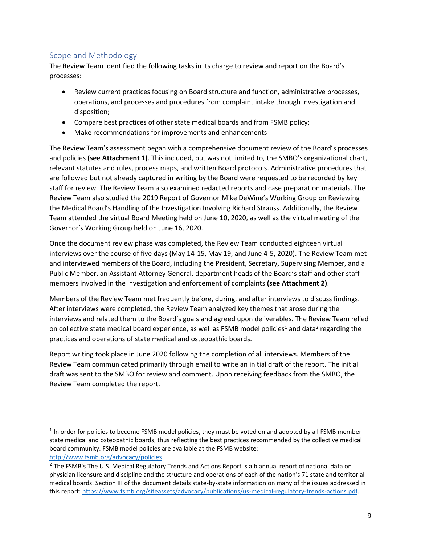## <span id="page-8-0"></span>Scope and Methodology

The Review Team identified the following tasks in its charge to review and report on the Board's processes:

- Review current practices focusing on Board structure and function, administrative processes, operations, and processes and procedures from complaint intake through investigation and disposition;
- Compare best practices of other state medical boards and from FSMB policy;
- Make recommendations for improvements and enhancements

The Review Team's assessment began with a comprehensive document review of the Board's processes and policies **(see Attachment 1)**. This included, but was not limited to, the SMBO's organizational chart, relevant statutes and rules, process maps, and written Board protocols. Administrative procedures that are followed but not already captured in writing by the Board were requested to be recorded by key staff for review. The Review Team also examined redacted reports and case preparation materials. The Review Team also studied the 2019 Report of Governor Mike DeWine's Working Group on Reviewing the Medical Board's Handling of the Investigation Involving Richard Strauss. Additionally, the Review Team attended the virtual Board Meeting held on June 10, 2020, as well as the virtual meeting of the Governor's Working Group held on June 16, 2020.

Once the document review phase was completed, the Review Team conducted eighteen virtual interviews over the course of five days (May 14-15, May 19, and June 4-5, 2020). The Review Team met and interviewed members of the Board, including the President, Secretary, Supervising Member, and a Public Member, an Assistant Attorney General, department heads of the Board's staff and other staff members involved in the investigation and enforcement of complaints **(see Attachment 2)**.

Members of the Review Team met frequently before, during, and after interviews to discuss findings. After interviews were completed, the Review Team analyzed key themes that arose during the interviews and related them to the Board's goals and agreed upon deliverables. The Review Team relied on collective state medical board experience, as well as FSMB model policies<sup>1</sup> and data<sup>2</sup> regarding the practices and operations of state medical and osteopathic boards.

Report writing took place in June 2020 following the completion of all interviews. Members of the Review Team communicated primarily through email to write an initial draft of the report. The initial draft was sent to the SMBO for review and comment. Upon receiving feedback from the SMBO, the Review Team completed the report.

 $<sup>1</sup>$  In order for policies to become FSMB model policies, they must be voted on and adopted by all FSMB member</sup> state medical and osteopathic boards, thus reflecting the best practices recommended by the collective medical board community. FSMB model policies are available at the FSMB website: [http://www.fsmb.org/advocacy/policies.](http://www.fsmb.org/advocacy/policies)

<sup>&</sup>lt;sup>2</sup> The FSMB's The U.S. Medical Regulatory Trends and Actions Report is a biannual report of national data on physician licensure and discipline and the structure and operations of each of the nation's 71 state and territorial medical boards. Section III of the document details state-by-state information on many of the issues addressed in this report: [https://www.fsmb.org/siteassets/advocacy/publications/us-medical-regulatory-trends-actions.pdf.](https://www.fsmb.org/siteassets/advocacy/publications/us-medical-regulatory-trends-actions.pdf)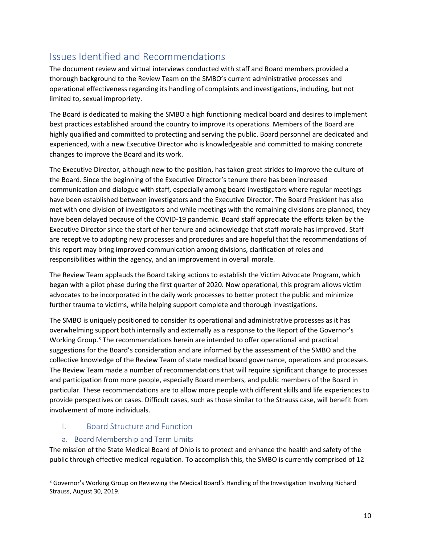# <span id="page-9-0"></span>Issues Identified and Recommendations

The document review and virtual interviews conducted with staff and Board members provided a thorough background to the Review Team on the SMBO's current administrative processes and operational effectiveness regarding its handling of complaints and investigations, including, but not limited to, sexual impropriety.

The Board is dedicated to making the SMBO a high functioning medical board and desires to implement best practices established around the country to improve its operations. Members of the Board are highly qualified and committed to protecting and serving the public. Board personnel are dedicated and experienced, with a new Executive Director who is knowledgeable and committed to making concrete changes to improve the Board and its work.

The Executive Director, although new to the position, has taken great strides to improve the culture of the Board. Since the beginning of the Executive Director's tenure there has been increased communication and dialogue with staff, especially among board investigators where regular meetings have been established between investigators and the Executive Director. The Board President has also met with one division of investigators and while meetings with the remaining divisions are planned, they have been delayed because of the COVID-19 pandemic. Board staff appreciate the efforts taken by the Executive Director since the start of her tenure and acknowledge that staff morale has improved. Staff are receptive to adopting new processes and procedures and are hopeful that the recommendations of this report may bring improved communication among divisions, clarification of roles and responsibilities within the agency, and an improvement in overall morale.

The Review Team applauds the Board taking actions to establish the Victim Advocate Program, which began with a pilot phase during the first quarter of 2020. Now operational, this program allows victim advocates to be incorporated in the daily work processes to better protect the public and minimize further trauma to victims, while helping support complete and thorough investigations.

The SMBO is uniquely positioned to consider its operational and administrative processes as it has overwhelming support both internally and externally as a response to the Report of the Governor's Working Group.<sup>3</sup> The recommendations herein are intended to offer operational and practical suggestions for the Board's consideration and are informed by the assessment of the SMBO and the collective knowledge of the Review Team of state medical board governance, operations and processes. The Review Team made a number of recommendations that will require significant change to processes and participation from more people, especially Board members, and public members of the Board in particular. These recommendations are to allow more people with different skills and life experiences to provide perspectives on cases. Difficult cases, such as those similar to the Strauss case, will benefit from involvement of more individuals.

## <span id="page-9-1"></span>I. Board Structure and Function

## a. Board Membership and Term Limits

<span id="page-9-2"></span>The mission of the State Medical Board of Ohio is to protect and enhance the health and safety of the public through effective medical regulation. To accomplish this, the SMBO is currently comprised of 12

<sup>&</sup>lt;sup>3</sup> Governor's Working Group on Reviewing the Medical Board's Handling of the Investigation Involving Richard Strauss, August 30, 2019.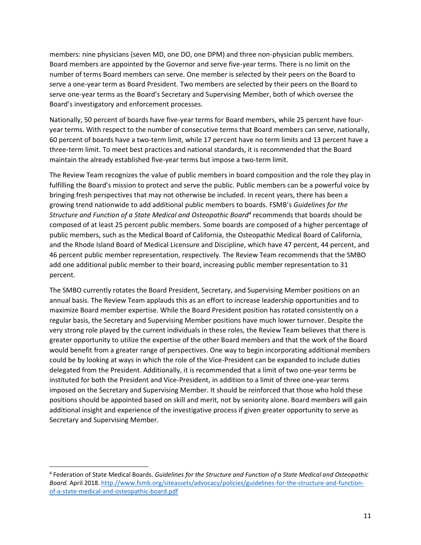members: nine physicians (seven MD, one DO, one DPM) and three non-physician public members. Board members are appointed by the Governor and serve five-year terms. There is no limit on the number of terms Board members can serve. One member is selected by their peers on the Board to serve a one-year term as Board President. Two members are selected by their peers on the Board to serve one-year terms as the Board's Secretary and Supervising Member, both of which oversee the Board's investigatory and enforcement processes.

Nationally, 50 percent of boards have five-year terms for Board members, while 25 percent have fouryear terms. With respect to the number of consecutive terms that Board members can serve, nationally, 60 percent of boards have a two-term limit, while 17 percent have no term limits and 13 percent have a three-term limit. To meet best practices and national standards, it is recommended that the Board maintain the already established five-year terms but impose a two-term limit.

The Review Team recognizes the value of public members in board composition and the role they play in fulfilling the Board's mission to protect and serve the public. Public members can be a powerful voice by bringing fresh perspectives that may not otherwise be included. In recent years, there has been a growing trend nationwide to add additional public members to boards. FSMB's *Guidelines for the Structure and Function of a State Medical and Osteopathic Board<sup>4</sup>* recommends that boards should be composed of at least 25 percent public members. Some boards are composed of a higher percentage of public members, such as the Medical Board of California, the Osteopathic Medical Board of California, and the Rhode Island Board of Medical Licensure and Discipline, which have 47 percent, 44 percent, and 46 percent public member representation, respectively. The Review Team recommends that the SMBO add one additional public member to their board, increasing public member representation to 31 percent.

The SMBO currently rotates the Board President, Secretary, and Supervising Member positions on an annual basis. The Review Team applauds this as an effort to increase leadership opportunities and to maximize Board member expertise. While the Board President position has rotated consistently on a regular basis, the Secretary and Supervising Member positions have much lower turnover. Despite the very strong role played by the current individuals in these roles, the Review Team believes that there is greater opportunity to utilize the expertise of the other Board members and that the work of the Board would benefit from a greater range of perspectives. One way to begin incorporating additional members could be by looking at ways in which the role of the Vice-President can be expanded to include duties delegated from the President. Additionally, it is recommended that a limit of two one-year terms be instituted for both the President and Vice-President, in addition to a limit of three one-year terms imposed on the Secretary and Supervising Member. It should be reinforced that those who hold these positions should be appointed based on skill and merit, not by seniority alone. Board members will gain additional insight and experience of the investigative process if given greater opportunity to serve as Secretary and Supervising Member.

<sup>4</sup> Federation of State Medical Boards. *Guidelines for the Structure and Function of a State Medical and Osteopathic Board.* April 2018[. http://www.fsmb.org/siteassets/advocacy/policies/guidelines-for-the-structure-and-function](http://www.fsmb.org/siteassets/advocacy/policies/guidelines-for-the-structure-and-function-of-a-state-medical-and-osteopathic-board.pdf)[of-a-state-medical-and-osteopathic-board.pdf](http://www.fsmb.org/siteassets/advocacy/policies/guidelines-for-the-structure-and-function-of-a-state-medical-and-osteopathic-board.pdf)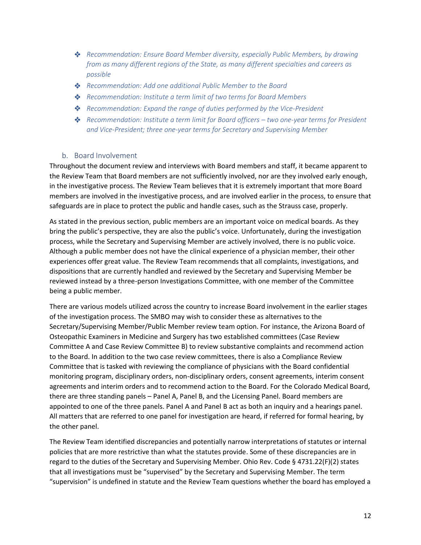- *Recommendation: Ensure Board Member diversity, especially Public Members, by drawing from as many different regions of the State, as many different specialties and careers as possible*
- *Recommendation: Add one additional Public Member to the Board*
- *Recommendation: Institute a term limit of two terms for Board Members*
- *Recommendation: Expand the range of duties performed by the Vice-President*
- *Recommendation: Institute a term limit for Board officers – two one-year terms for President and Vice-President; three one-year terms for Secretary and Supervising Member*

#### b. Board Involvement

<span id="page-11-0"></span>Throughout the document review and interviews with Board members and staff, it became apparent to the Review Team that Board members are not sufficiently involved, nor are they involved early enough, in the investigative process. The Review Team believes that it is extremely important that more Board members are involved in the investigative process, and are involved earlier in the process, to ensure that safeguards are in place to protect the public and handle cases, such as the Strauss case, properly.

As stated in the previous section, public members are an important voice on medical boards. As they bring the public's perspective, they are also the public's voice. Unfortunately, during the investigation process, while the Secretary and Supervising Member are actively involved, there is no public voice. Although a public member does not have the clinical experience of a physician member, their other experiences offer great value. The Review Team recommends that all complaints, investigations, and dispositions that are currently handled and reviewed by the Secretary and Supervising Member be reviewed instead by a three-person Investigations Committee, with one member of the Committee being a public member.

There are various models utilized across the country to increase Board involvement in the earlier stages of the investigation process. The SMBO may wish to consider these as alternatives to the Secretary/Supervising Member/Public Member review team option. For instance, the Arizona Board of Osteopathic Examiners in Medicine and Surgery has two established committees (Case Review Committee A and Case Review Committee B) to review substantive complaints and recommend action to the Board. In addition to the two case review committees, there is also a Compliance Review Committee that is tasked with reviewing the compliance of physicians with the Board confidential monitoring program, disciplinary orders, non-disciplinary orders, consent agreements, interim consent agreements and interim orders and to recommend action to the Board. For the Colorado Medical Board, there are three standing panels – Panel A, Panel B, and the Licensing Panel. Board members are appointed to one of the three panels. Panel A and Panel B act as both an inquiry and a hearings panel. All matters that are referred to one panel for investigation are heard, if referred for formal hearing, by the other panel.

The Review Team identified discrepancies and potentially narrow interpretations of statutes or internal policies that are more restrictive than what the statutes provide. Some of these discrepancies are in regard to the duties of the Secretary and Supervising Member. Ohio Rev. Code § 4731.22(F)(2) states that all investigations must be "supervised" by the Secretary and Supervising Member. The term "supervision" is undefined in statute and the Review Team questions whether the board has employed a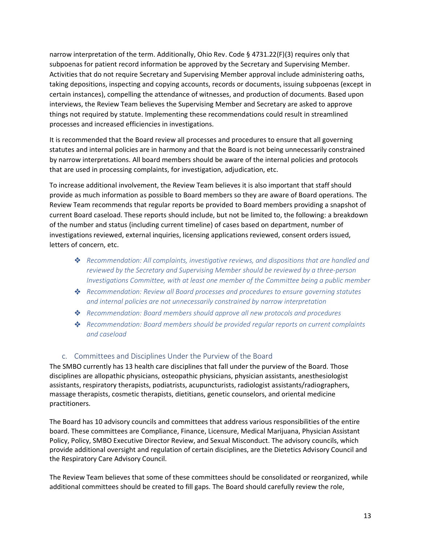narrow interpretation of the term. Additionally, Ohio Rev. Code § 4731.22(F)(3) requires only that subpoenas for patient record information be approved by the Secretary and Supervising Member. Activities that do not require Secretary and Supervising Member approval include administering oaths, taking depositions, inspecting and copying accounts, records or documents, issuing subpoenas (except in certain instances), compelling the attendance of witnesses, and production of documents. Based upon interviews, the Review Team believes the Supervising Member and Secretary are asked to approve things not required by statute. Implementing these recommendations could result in streamlined processes and increased efficiencies in investigations.

It is recommended that the Board review all processes and procedures to ensure that all governing statutes and internal policies are in harmony and that the Board is not being unnecessarily constrained by narrow interpretations. All board members should be aware of the internal policies and protocols that are used in processing complaints, for investigation, adjudication, etc.

To increase additional involvement, the Review Team believes it is also important that staff should provide as much information as possible to Board members so they are aware of Board operations. The Review Team recommends that regular reports be provided to Board members providing a snapshot of current Board caseload. These reports should include, but not be limited to, the following: a breakdown of the number and status (including current timeline) of cases based on department, number of investigations reviewed, external inquiries, licensing applications reviewed, consent orders issued, letters of concern, etc.

- *Recommendation: All complaints, investigative reviews, and dispositions that are handled and reviewed by the Secretary and Supervising Member should be reviewed by a three-person Investigations Committee, with at least one member of the Committee being a public member*
- *Recommendation: Review all Board processes and procedures to ensure governing statutes and internal policies are not unnecessarily constrained by narrow interpretation*
- *Recommendation: Board members should approve all new protocols and procedures*
- *Recommendation: Board members should be provided regular reports on current complaints and caseload*

### c. Committees and Disciplines Under the Purview of the Board

<span id="page-12-0"></span>The SMBO currently has 13 health care disciplines that fall under the purview of the Board. Those disciplines are allopathic physicians, osteopathic physicians, physician assistants, anesthesiologist assistants, respiratory therapists, podiatrists, acupuncturists, radiologist assistants/radiographers, massage therapists, cosmetic therapists, dietitians, genetic counselors, and oriental medicine practitioners.

The Board has 10 advisory councils and committees that address various responsibilities of the entire board. These committees are Compliance, Finance, Licensure, Medical Marijuana, Physician Assistant Policy, Policy, SMBO Executive Director Review, and Sexual Misconduct. The advisory councils, which provide additional oversight and regulation of certain disciplines, are the Dietetics Advisory Council and the Respiratory Care Advisory Council.

The Review Team believes that some of these committees should be consolidated or reorganized, while additional committees should be created to fill gaps. The Board should carefully review the role,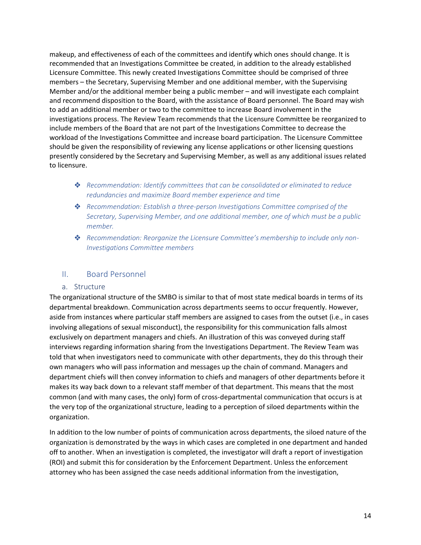makeup, and effectiveness of each of the committees and identify which ones should change. It is recommended that an Investigations Committee be created, in addition to the already established Licensure Committee. This newly created Investigations Committee should be comprised of three members – the Secretary, Supervising Member and one additional member, with the Supervising Member and/or the additional member being a public member – and will investigate each complaint and recommend disposition to the Board, with the assistance of Board personnel. The Board may wish to add an additional member or two to the committee to increase Board involvement in the investigations process. The Review Team recommends that the Licensure Committee be reorganized to include members of the Board that are not part of the Investigations Committee to decrease the workload of the Investigations Committee and increase board participation. The Licensure Committee should be given the responsibility of reviewing any license applications or other licensing questions presently considered by the Secretary and Supervising Member, as well as any additional issues related to licensure.

- *Recommendation: Identify committees that can be consolidated or eliminated to reduce redundancies and maximize Board member experience and time*
- *Recommendation: Establish a three-person Investigations Committee comprised of the Secretary, Supervising Member, and one additional member, one of which must be a public member.*
- *Recommendation: Reorganize the Licensure Committee's membership to include only non-Investigations Committee members*

## <span id="page-13-0"></span>II. Board Personnel

#### a. Structure

<span id="page-13-1"></span>The organizational structure of the SMBO is similar to that of most state medical boards in terms of its departmental breakdown. Communication across departments seems to occur frequently. However, aside from instances where particular staff members are assigned to cases from the outset (i.e., in cases involving allegations of sexual misconduct), the responsibility for this communication falls almost exclusively on department managers and chiefs. An illustration of this was conveyed during staff interviews regarding information sharing from the Investigations Department. The Review Team was told that when investigators need to communicate with other departments, they do this through their own managers who will pass information and messages up the chain of command. Managers and department chiefs will then convey information to chiefs and managers of other departments before it makes its way back down to a relevant staff member of that department. This means that the most common (and with many cases, the only) form of cross-departmental communication that occurs is at the very top of the organizational structure, leading to a perception of siloed departments within the organization.

In addition to the low number of points of communication across departments, the siloed nature of the organization is demonstrated by the ways in which cases are completed in one department and handed off to another. When an investigation is completed, the investigator will draft a report of investigation (ROI) and submit this for consideration by the Enforcement Department. Unless the enforcement attorney who has been assigned the case needs additional information from the investigation,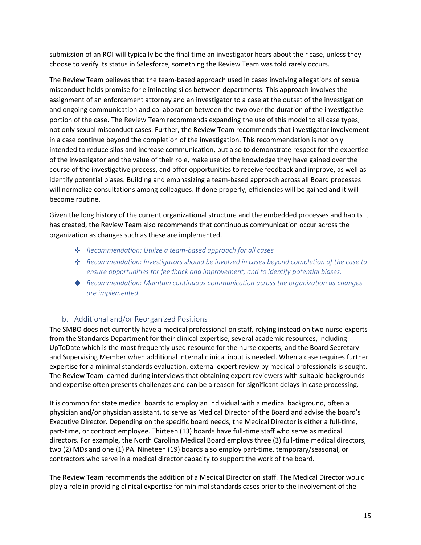submission of an ROI will typically be the final time an investigator hears about their case, unless they choose to verify its status in Salesforce, something the Review Team was told rarely occurs.

The Review Team believes that the team-based approach used in cases involving allegations of sexual misconduct holds promise for eliminating silos between departments. This approach involves the assignment of an enforcement attorney and an investigator to a case at the outset of the investigation and ongoing communication and collaboration between the two over the duration of the investigative portion of the case. The Review Team recommends expanding the use of this model to all case types, not only sexual misconduct cases. Further, the Review Team recommends that investigator involvement in a case continue beyond the completion of the investigation. This recommendation is not only intended to reduce silos and increase communication, but also to demonstrate respect for the expertise of the investigator and the value of their role, make use of the knowledge they have gained over the course of the investigative process, and offer opportunities to receive feedback and improve, as well as identify potential biases. Building and emphasizing a team-based approach across all Board processes will normalize consultations among colleagues. If done properly, efficiencies will be gained and it will become routine.

Given the long history of the current organizational structure and the embedded processes and habits it has created, the Review Team also recommends that continuous communication occur across the organization as changes such as these are implemented.

- *Recommendation: Utilize a team-based approach for all cases*
- *Recommendation: Investigators should be involved in cases beyond completion of the case to ensure opportunities for feedback and improvement, and to identify potential biases.*
- *Recommendation: Maintain continuous communication across the organization as changes are implemented*

### b. Additional and/or Reorganized Positions

<span id="page-14-0"></span>The SMBO does not currently have a medical professional on staff, relying instead on two nurse experts from the Standards Department for their clinical expertise, several academic resources, including UpToDate which is the most frequently used resource for the nurse experts, and the Board Secretary and Supervising Member when additional internal clinical input is needed. When a case requires further expertise for a minimal standards evaluation, external expert review by medical professionals is sought. The Review Team learned during interviews that obtaining expert reviewers with suitable backgrounds and expertise often presents challenges and can be a reason for significant delays in case processing.

It is common for state medical boards to employ an individual with a medical background, often a physician and/or physician assistant, to serve as Medical Director of the Board and advise the board's Executive Director. Depending on the specific board needs, the Medical Director is either a full-time, part-time, or contract employee. Thirteen (13) boards have full-time staff who serve as medical directors. For example, the North Carolina Medical Board employs three (3) full-time medical directors, two (2) MDs and one (1) PA. Nineteen (19) boards also employ part-time, temporary/seasonal, or contractors who serve in a medical director capacity to support the work of the board.

The Review Team recommends the addition of a Medical Director on staff. The Medical Director would play a role in providing clinical expertise for minimal standards cases prior to the involvement of the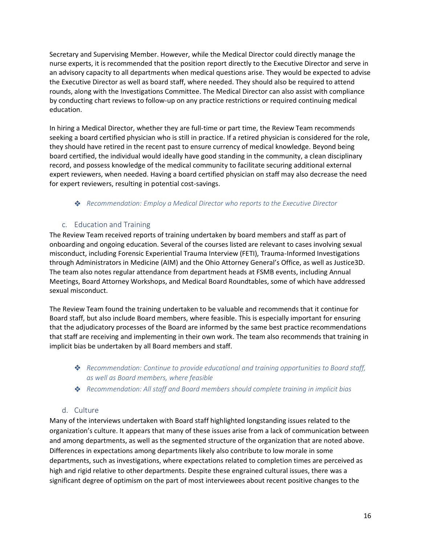Secretary and Supervising Member. However, while the Medical Director could directly manage the nurse experts, it is recommended that the position report directly to the Executive Director and serve in an advisory capacity to all departments when medical questions arise. They would be expected to advise the Executive Director as well as board staff, where needed. They should also be required to attend rounds, along with the Investigations Committee. The Medical Director can also assist with compliance by conducting chart reviews to follow-up on any practice restrictions or required continuing medical education.

In hiring a Medical Director, whether they are full-time or part time, the Review Team recommends seeking a board certified physician who is still in practice. If a retired physician is considered for the role, they should have retired in the recent past to ensure currency of medical knowledge. Beyond being board certified, the individual would ideally have good standing in the community, a clean disciplinary record, and possess knowledge of the medical community to facilitate securing additional external expert reviewers, when needed. Having a board certified physician on staff may also decrease the need for expert reviewers, resulting in potential cost-savings.

### *Recommendation: Employ a Medical Director who reports to the Executive Director*

## c. Education and Training

<span id="page-15-0"></span>The Review Team received reports of training undertaken by board members and staff as part of onboarding and ongoing education. Several of the courses listed are relevant to cases involving sexual misconduct, including Forensic Experiential Trauma Interview (FETI), Trauma-Informed Investigations through Administrators in Medicine (AIM) and the Ohio Attorney General's Office, as well as Justice3D. The team also notes regular attendance from department heads at FSMB events, including Annual Meetings, Board Attorney Workshops, and Medical Board Roundtables, some of which have addressed sexual misconduct.

The Review Team found the training undertaken to be valuable and recommends that it continue for Board staff, but also include Board members, where feasible. This is especially important for ensuring that the adjudicatory processes of the Board are informed by the same best practice recommendations that staff are receiving and implementing in their own work. The team also recommends that training in implicit bias be undertaken by all Board members and staff.

- *Recommendation: Continue to provide educational and training opportunities to Board staff, as well as Board members, where feasible*
- *Recommendation: All staff and Board members should complete training in implicit bias*

### d. Culture

<span id="page-15-1"></span>Many of the interviews undertaken with Board staff highlighted longstanding issues related to the organization's culture. It appears that many of these issues arise from a lack of communication between and among departments, as well as the segmented structure of the organization that are noted above. Differences in expectations among departments likely also contribute to low morale in some departments, such as investigations, where expectations related to completion times are perceived as high and rigid relative to other departments. Despite these engrained cultural issues, there was a significant degree of optimism on the part of most interviewees about recent positive changes to the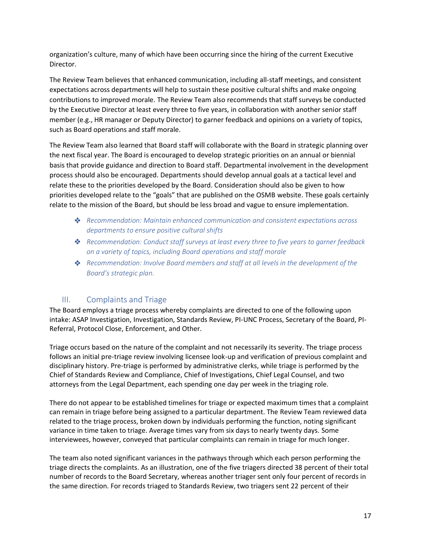organization's culture, many of which have been occurring since the hiring of the current Executive Director.

The Review Team believes that enhanced communication, including all-staff meetings, and consistent expectations across departments will help to sustain these positive cultural shifts and make ongoing contributions to improved morale. The Review Team also recommends that staff surveys be conducted by the Executive Director at least every three to five years, in collaboration with another senior staff member (e.g., HR manager or Deputy Director) to garner feedback and opinions on a variety of topics, such as Board operations and staff morale.

The Review Team also learned that Board staff will collaborate with the Board in strategic planning over the next fiscal year. The Board is encouraged to develop strategic priorities on an annual or biennial basis that provide guidance and direction to Board staff. Departmental involvement in the development process should also be encouraged. Departments should develop annual goals at a tactical level and relate these to the priorities developed by the Board. Consideration should also be given to how priorities developed relate to the "goals" that are published on the OSMB website. These goals certainly relate to the mission of the Board, but should be less broad and vague to ensure implementation.

- *Recommendation: Maintain enhanced communication and consistent expectations across departments to ensure positive cultural shifts*
- *Recommendation: Conduct staff surveys at least every three to five years to garner feedback on a variety of topics, including Board operations and staff morale*
- *Recommendation: Involve Board members and staff at all levels in the development of the Board's strategic plan.*

## III. Complaints and Triage

<span id="page-16-0"></span>The Board employs a triage process whereby complaints are directed to one of the following upon intake: ASAP Investigation, Investigation, Standards Review, PI-UNC Process, Secretary of the Board, PI-Referral, Protocol Close, Enforcement, and Other.

Triage occurs based on the nature of the complaint and not necessarily its severity. The triage process follows an initial pre-triage review involving licensee look-up and verification of previous complaint and disciplinary history. Pre-triage is performed by administrative clerks, while triage is performed by the Chief of Standards Review and Compliance, Chief of Investigations, Chief Legal Counsel, and two attorneys from the Legal Department, each spending one day per week in the triaging role.

There do not appear to be established timelines for triage or expected maximum times that a complaint can remain in triage before being assigned to a particular department. The Review Team reviewed data related to the triage process, broken down by individuals performing the function, noting significant variance in time taken to triage. Average times vary from six days to nearly twenty days. Some interviewees, however, conveyed that particular complaints can remain in triage for much longer.

The team also noted significant variances in the pathways through which each person performing the triage directs the complaints. As an illustration, one of the five triagers directed 38 percent of their total number of records to the Board Secretary, whereas another triager sent only four percent of records in the same direction. For records triaged to Standards Review, two triagers sent 22 percent of their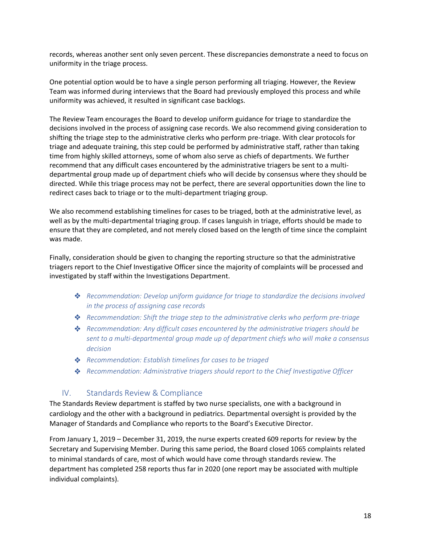records, whereas another sent only seven percent. These discrepancies demonstrate a need to focus on uniformity in the triage process.

One potential option would be to have a single person performing all triaging. However, the Review Team was informed during interviews that the Board had previously employed this process and while uniformity was achieved, it resulted in significant case backlogs.

The Review Team encourages the Board to develop uniform guidance for triage to standardize the decisions involved in the process of assigning case records. We also recommend giving consideration to shifting the triage step to the administrative clerks who perform pre-triage. With clear protocols for triage and adequate training, this step could be performed by administrative staff, rather than taking time from highly skilled attorneys, some of whom also serve as chiefs of departments. We further recommend that any difficult cases encountered by the administrative triagers be sent to a multidepartmental group made up of department chiefs who will decide by consensus where they should be directed. While this triage process may not be perfect, there are several opportunities down the line to redirect cases back to triage or to the multi-department triaging group.

We also recommend establishing timelines for cases to be triaged, both at the administrative level, as well as by the multi-departmental triaging group. If cases languish in triage, efforts should be made to ensure that they are completed, and not merely closed based on the length of time since the complaint was made.

Finally, consideration should be given to changing the reporting structure so that the administrative triagers report to the Chief Investigative Officer since the majority of complaints will be processed and investigated by staff within the Investigations Department.

- *Recommendation: Develop uniform guidance for triage to standardize the decisions involved in the process of assigning case records*
- *Recommendation: Shift the triage step to the administrative clerks who perform pre-triage*
- *Recommendation: Any difficult cases encountered by the administrative triagers should be sent to a multi-departmental group made up of department chiefs who will make a consensus decision*
- *Recommendation: Establish timelines for cases to be triaged*
- *Recommendation: Administrative triagers should report to the Chief Investigative Officer*

### <span id="page-17-0"></span>IV. Standards Review & Compliance

The Standards Review department is staffed by two nurse specialists, one with a background in cardiology and the other with a background in pediatrics. Departmental oversight is provided by the Manager of Standards and Compliance who reports to the Board's Executive Director.

From January 1, 2019 – December 31, 2019, the nurse experts created 609 reports for review by the Secretary and Supervising Member. During this same period, the Board closed 1065 complaints related to minimal standards of care, most of which would have come through standards review. The department has completed 258 reports thus far in 2020 (one report may be associated with multiple individual complaints).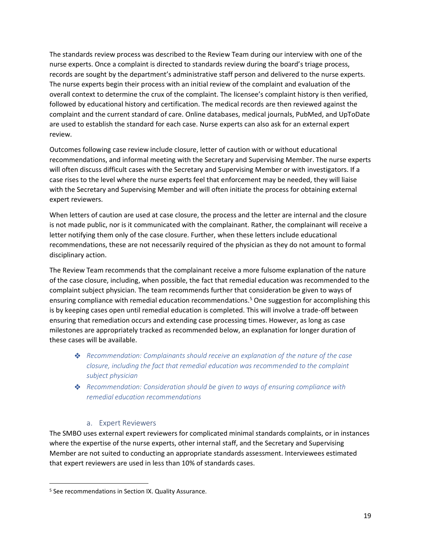The standards review process was described to the Review Team during our interview with one of the nurse experts. Once a complaint is directed to standards review during the board's triage process, records are sought by the department's administrative staff person and delivered to the nurse experts. The nurse experts begin their process with an initial review of the complaint and evaluation of the overall context to determine the crux of the complaint. The licensee's complaint history is then verified, followed by educational history and certification. The medical records are then reviewed against the complaint and the current standard of care. Online databases, medical journals, PubMed, and UpToDate are used to establish the standard for each case. Nurse experts can also ask for an external expert review.

Outcomes following case review include closure, letter of caution with or without educational recommendations, and informal meeting with the Secretary and Supervising Member. The nurse experts will often discuss difficult cases with the Secretary and Supervising Member or with investigators. If a case rises to the level where the nurse experts feel that enforcement may be needed, they will liaise with the Secretary and Supervising Member and will often initiate the process for obtaining external expert reviewers.

When letters of caution are used at case closure, the process and the letter are internal and the closure is not made public, nor is it communicated with the complainant. Rather, the complainant will receive a letter notifying them only of the case closure. Further, when these letters include educational recommendations, these are not necessarily required of the physician as they do not amount to formal disciplinary action.

The Review Team recommends that the complainant receive a more fulsome explanation of the nature of the case closure, including, when possible, the fact that remedial education was recommended to the complaint subject physician. The team recommends further that consideration be given to ways of ensuring compliance with remedial education recommendations. <sup>5</sup> One suggestion for accomplishing this is by keeping cases open until remedial education is completed. This will involve a trade-off between ensuring that remediation occurs and extending case processing times. However, as long as case milestones are appropriately tracked as recommended below, an explanation for longer duration of these cases will be available.

- *Recommendation: Complainants should receive an explanation of the nature of the case closure, including the fact that remedial education was recommended to the complaint subject physician*
- *Recommendation: Consideration should be given to ways of ensuring compliance with remedial education recommendations*

### a. Expert Reviewers

<span id="page-18-0"></span>The SMBO uses external expert reviewers for complicated minimal standards complaints, or in instances where the expertise of the nurse experts, other internal staff, and the Secretary and Supervising Member are not suited to conducting an appropriate standards assessment. Interviewees estimated that expert reviewers are used in less than 10% of standards cases.

<sup>5</sup> See recommendations in Section IX. Quality Assurance.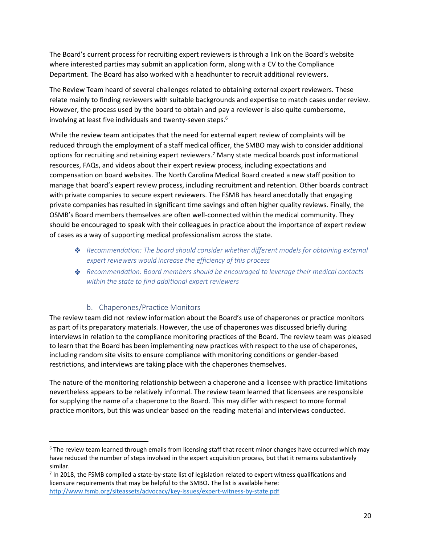The Board's current process for recruiting expert reviewers is through a link on the Board's website where interested parties may submit an application form, along with a CV to the Compliance Department. The Board has also worked with a headhunter to recruit additional reviewers.

The Review Team heard of several challenges related to obtaining external expert reviewers. These relate mainly to finding reviewers with suitable backgrounds and expertise to match cases under review. However, the process used by the board to obtain and pay a reviewer is also quite cumbersome, involving at least five individuals and twenty-seven steps.<sup>6</sup>

While the review team anticipates that the need for external expert review of complaints will be reduced through the employment of a staff medical officer, the SMBO may wish to consider additional options for recruiting and retaining expert reviewers.<sup>7</sup> Many state medical boards post informational resources, FAQs, and videos about their expert review process, including expectations and compensation on board websites. The North Carolina Medical Board created a new staff position to manage that board's expert review process, including recruitment and retention. Other boards contract with private companies to secure expert reviewers. The FSMB has heard anecdotally that engaging private companies has resulted in significant time savings and often higher quality reviews. Finally, the OSMB's Board members themselves are often well-connected within the medical community. They should be encouraged to speak with their colleagues in practice about the importance of expert review of cases as a way of supporting medical professionalism across the state.

- *Recommendation: The board should consider whether different models for obtaining external expert reviewers would increase the efficiency of this process*
- *Recommendation: Board members should be encouraged to leverage their medical contacts within the state to find additional expert reviewers*

### b. Chaperones/Practice Monitors

<span id="page-19-0"></span>The review team did not review information about the Board's use of chaperones or practice monitors as part of its preparatory materials. However, the use of chaperones was discussed briefly during interviews in relation to the compliance monitoring practices of the Board. The review team was pleased to learn that the Board has been implementing new practices with respect to the use of chaperones, including random site visits to ensure compliance with monitoring conditions or gender-based restrictions, and interviews are taking place with the chaperones themselves.

The nature of the monitoring relationship between a chaperone and a licensee with practice limitations nevertheless appears to be relatively informal. The review team learned that licensees are responsible for supplying the name of a chaperone to the Board. This may differ with respect to more formal practice monitors, but this was unclear based on the reading material and interviews conducted.

<sup>7</sup> In 2018, the FSMB compiled a state-by-state list of legislation related to expert witness qualifications and licensure requirements that may be helpful to the SMBO. The list is available here: <http://www.fsmb.org/siteassets/advocacy/key-issues/expert-witness-by-state.pdf>

<sup>&</sup>lt;sup>6</sup> The review team learned through emails from licensing staff that recent minor changes have occurred which may have reduced the number of steps involved in the expert acquisition process, but that it remains substantively similar.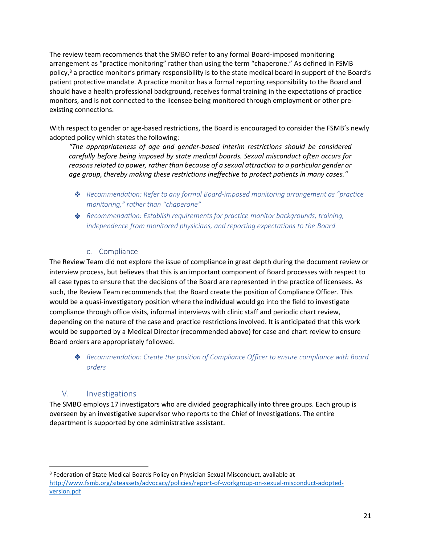The review team recommends that the SMBO refer to any formal Board-imposed monitoring arrangement as "practice monitoring" rather than using the term "chaperone." As defined in FSMB policy,<sup>8</sup> a practice monitor's primary responsibility is to the state medical board in support of the Board's patient protective mandate. A practice monitor has a formal reporting responsibility to the Board and should have a health professional background, receives formal training in the expectations of practice monitors, and is not connected to the licensee being monitored through employment or other preexisting connections.

With respect to gender or age-based restrictions, the Board is encouraged to consider the FSMB's newly adopted policy which states the following:

*"The appropriateness of age and gender-based interim restrictions should be considered carefully before being imposed by state medical boards. Sexual misconduct often occurs for reasons related to power, rather than because of a sexual attraction to a particular gender or age group, thereby making these restrictions ineffective to protect patients in many cases."*

- *Recommendation: Refer to any formal Board-imposed monitoring arrangement as "practice monitoring," rather than "chaperone"*
- *Recommendation: Establish requirements for practice monitor backgrounds, training, independence from monitored physicians, and reporting expectations to the Board*

## c. Compliance

<span id="page-20-0"></span>The Review Team did not explore the issue of compliance in great depth during the document review or interview process, but believes that this is an important component of Board processes with respect to all case types to ensure that the decisions of the Board are represented in the practice of licensees. As such, the Review Team recommends that the Board create the position of Compliance Officer. This would be a quasi-investigatory position where the individual would go into the field to investigate compliance through office visits, informal interviews with clinic staff and periodic chart review, depending on the nature of the case and practice restrictions involved. It is anticipated that this work would be supported by a Medical Director (recommended above) for case and chart review to ensure Board orders are appropriately followed.

*Recommendation: Create the position of Compliance Officer to ensure compliance with Board orders*

## V. Investigations

<span id="page-20-1"></span>The SMBO employs 17 investigators who are divided geographically into three groups. Each group is overseen by an investigative supervisor who reports to the Chief of Investigations. The entire department is supported by one administrative assistant.

<sup>8</sup> Federation of State Medical Boards Policy on Physician Sexual Misconduct, available at [http://www.fsmb.org/siteassets/advocacy/policies/report-of-workgroup-on-sexual-misconduct-adopted](http://www.fsmb.org/siteassets/advocacy/policies/report-of-workgroup-on-sexual-misconduct-adopted-version.pdf)[version.pdf](http://www.fsmb.org/siteassets/advocacy/policies/report-of-workgroup-on-sexual-misconduct-adopted-version.pdf)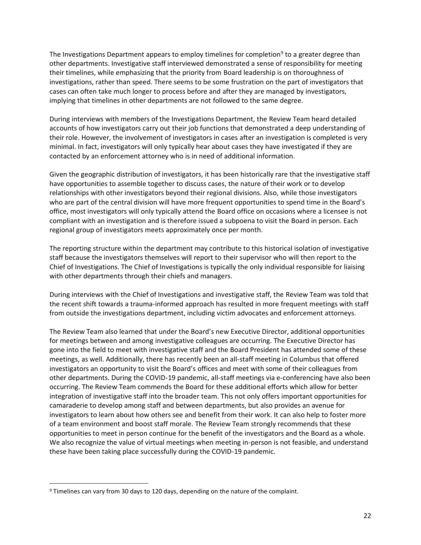The Investigations Department appears to employ timelines for completion<sup>9</sup> to a greater degree than other departments. Investigative staff interviewed demonstrated a sense of responsibility for meeting their timelines, while emphasizing that the priority from Board leadership is on thoroughness of investigations, rather than speed. There seems to be some frustration on the part of investigators that cases can often take much longer to process before and after they are managed by investigators, implying that timelines in other departments are not followed to the same degree.

During interviews with members of the Investigations Department, the Review Team heard detailed accounts of how investigators carry out their job functions that demonstrated a deep understanding of their role. However, the involvement of investigators in cases after an investigation is completed is very minimal. In fact, investigators will only typically hear about cases they have investigated if they are contacted by an enforcement attorney who is in need of additional information.

Given the geographic distribution of investigators, it has been historically rare that the investigative staff have opportunities to assemble together to discuss cases, the nature of their work or to develop relationships with other investigators beyond their regional divisions. Also, while those investigators who are part of the central division will have more frequent opportunities to spend time in the Board's office, most investigators will only typically attend the Board office on occasions where a licensee is not compliant with an investigation and is therefore issued a subpoena to visit the Board in person. Each regional group of investigators meets approximately once per month.

The reporting structure within the department may contribute to this historical isolation of investigative staff because the investigators themselves will report to their supervisor who will then report to the Chief of Investigations. The Chief of Investigations is typically the only individual responsible for liaising with other departments through their chiefs and managers.

During interviews with the Chief of Investigations and investigative staff, the Review Team was told that the recent shift towards a trauma-informed approach has resulted in more frequent meetings with staff from outside the investigations department, including victim advocates and enforcement attorneys.

The Review Team also learned that under the Board's new Executive Director, additional opportunities for meetings between and among investigative colleagues are occurring. The Executive Director has gone into the field to meet with investigative staff and the Board President has attended some of these meetings, as well. Additionally, there has recently been an all-staff meeting in Columbus that offered investigators an opportunity to visit the Board's offices and meet with some of their colleagues from other departments. During the COVID-19 pandemic, all-staff meetings via e-conferencing have also been occurring. The Review Team commends the Board for these additional efforts which allow for better integration of investigative staff into the broader team. This not only offers important opportunities for camaraderie to develop among staff and between departments, but also provides an avenue for investigators to learn about how others see and benefit from their work. It can also help to foster more of a team environment and boost staff morale. The Review Team strongly recommends that these opportunities to meet in person continue for the benefit of the investigators and the Board as a whole. We also recognize the value of virtual meetings when meeting in-person is not feasible, and understand these have been taking place successfully during the COVID-19 pandemic.

<sup>&</sup>lt;sup>9</sup> Timelines can vary from 30 days to 120 days, depending on the nature of the complaint.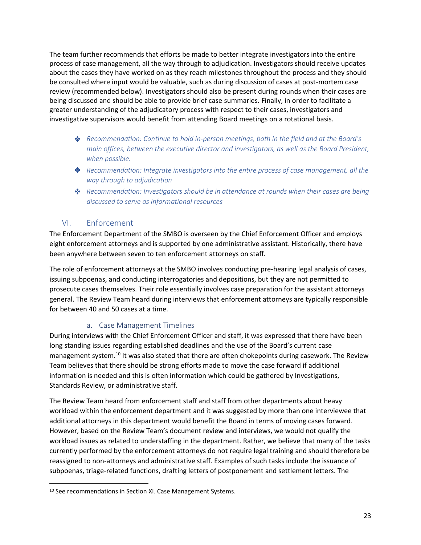The team further recommends that efforts be made to better integrate investigators into the entire process of case management, all the way through to adjudication. Investigators should receive updates about the cases they have worked on as they reach milestones throughout the process and they should be consulted where input would be valuable, such as during discussion of cases at post-mortem case review (recommended below). Investigators should also be present during rounds when their cases are being discussed and should be able to provide brief case summaries. Finally, in order to facilitate a greater understanding of the adjudicatory process with respect to their cases, investigators and investigative supervisors would benefit from attending Board meetings on a rotational basis.

- *Recommendation: Continue to hold in-person meetings, both in the field and at the Board's main offices, between the executive director and investigators, as well as the Board President, when possible.*
- *Recommendation: Integrate investigators into the entire process of case management, all the way through to adjudication*
- *Recommendation: Investigators should be in attendance at rounds when their cases are being discussed to serve as informational resources*

## VI. Enforcement

<span id="page-22-0"></span>The Enforcement Department of the SMBO is overseen by the Chief Enforcement Officer and employs eight enforcement attorneys and is supported by one administrative assistant. Historically, there have been anywhere between seven to ten enforcement attorneys on staff.

The role of enforcement attorneys at the SMBO involves conducting pre-hearing legal analysis of cases, issuing subpoenas, and conducting interrogatories and depositions, but they are not permitted to prosecute cases themselves. Their role essentially involves case preparation for the assistant attorneys general. The Review Team heard during interviews that enforcement attorneys are typically responsible for between 40 and 50 cases at a time.

## a. Case Management Timelines

<span id="page-22-1"></span>During interviews with the Chief Enforcement Officer and staff, it was expressed that there have been long standing issues regarding established deadlines and the use of the Board's current case management system.<sup>10</sup> It was also stated that there are often chokepoints during casework. The Review Team believes that there should be strong efforts made to move the case forward if additional information is needed and this is often information which could be gathered by Investigations, Standards Review, or administrative staff.

The Review Team heard from enforcement staff and staff from other departments about heavy workload within the enforcement department and it was suggested by more than one interviewee that additional attorneys in this department would benefit the Board in terms of moving cases forward. However, based on the Review Team's document review and interviews, we would not qualify the workload issues as related to understaffing in the department. Rather, we believe that many of the tasks currently performed by the enforcement attorneys do not require legal training and should therefore be reassigned to non-attorneys and administrative staff. Examples of such tasks include the issuance of subpoenas, triage-related functions, drafting letters of postponement and settlement letters. The

<sup>&</sup>lt;sup>10</sup> See recommendations in Section XI. Case Management Systems.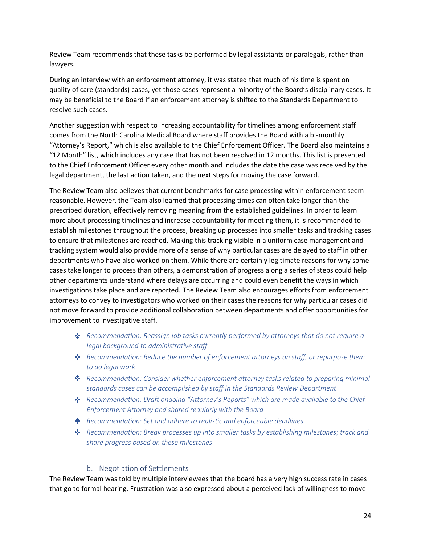Review Team recommends that these tasks be performed by legal assistants or paralegals, rather than lawyers.

During an interview with an enforcement attorney, it was stated that much of his time is spent on quality of care (standards) cases, yet those cases represent a minority of the Board's disciplinary cases. It may be beneficial to the Board if an enforcement attorney is shifted to the Standards Department to resolve such cases.

Another suggestion with respect to increasing accountability for timelines among enforcement staff comes from the North Carolina Medical Board where staff provides the Board with a bi-monthly "Attorney's Report," which is also available to the Chief Enforcement Officer. The Board also maintains a "12 Month" list, which includes any case that has not been resolved in 12 months. This list is presented to the Chief Enforcement Officer every other month and includes the date the case was received by the legal department, the last action taken, and the next steps for moving the case forward.

The Review Team also believes that current benchmarks for case processing within enforcement seem reasonable. However, the Team also learned that processing times can often take longer than the prescribed duration, effectively removing meaning from the established guidelines. In order to learn more about processing timelines and increase accountability for meeting them, it is recommended to establish milestones throughout the process, breaking up processes into smaller tasks and tracking cases to ensure that milestones are reached. Making this tracking visible in a uniform case management and tracking system would also provide more of a sense of why particular cases are delayed to staff in other departments who have also worked on them. While there are certainly legitimate reasons for why some cases take longer to process than others, a demonstration of progress along a series of steps could help other departments understand where delays are occurring and could even benefit the ways in which investigations take place and are reported. The Review Team also encourages efforts from enforcement attorneys to convey to investigators who worked on their cases the reasons for why particular cases did not move forward to provide additional collaboration between departments and offer opportunities for improvement to investigative staff.

- *Recommendation: Reassign job tasks currently performed by attorneys that do not require a legal background to administrative staff*
- *Recommendation: Reduce the number of enforcement attorneys on staff, or repurpose them to do legal work*
- *Recommendation: Consider whether enforcement attorney tasks related to preparing minimal standards cases can be accomplished by staff in the Standards Review Department*
- *Recommendation: Draft ongoing "Attorney's Reports" which are made available to the Chief Enforcement Attorney and shared regularly with the Board*
- *Recommendation: Set and adhere to realistic and enforceable deadlines*
- *Recommendation: Break processes up into smaller tasks by establishing milestones; track and share progress based on these milestones*

### b. Negotiation of Settlements

<span id="page-23-0"></span>The Review Team was told by multiple interviewees that the board has a very high success rate in cases that go to formal hearing. Frustration was also expressed about a perceived lack of willingness to move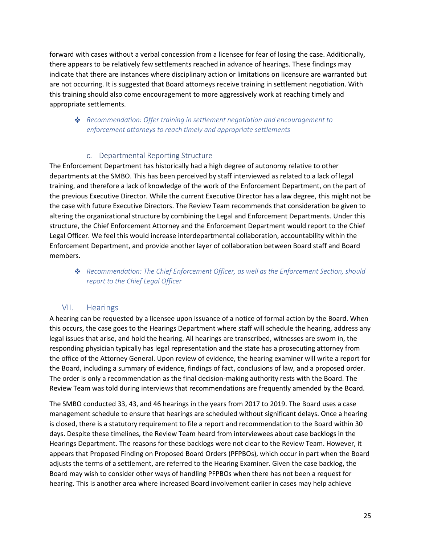forward with cases without a verbal concession from a licensee for fear of losing the case. Additionally, there appears to be relatively few settlements reached in advance of hearings. These findings may indicate that there are instances where disciplinary action or limitations on licensure are warranted but are not occurring. It is suggested that Board attorneys receive training in settlement negotiation. With this training should also come encouragement to more aggressively work at reaching timely and appropriate settlements.

## *Recommendation: Offer training in settlement negotiation and encouragement to enforcement attorneys to reach timely and appropriate settlements*

#### c. Departmental Reporting Structure

<span id="page-24-0"></span>The Enforcement Department has historically had a high degree of autonomy relative to other departments at the SMBO. This has been perceived by staff interviewed as related to a lack of legal training, and therefore a lack of knowledge of the work of the Enforcement Department, on the part of the previous Executive Director. While the current Executive Director has a law degree, this might not be the case with future Executive Directors. The Review Team recommends that consideration be given to altering the organizational structure by combining the Legal and Enforcement Departments. Under this structure, the Chief Enforcement Attorney and the Enforcement Department would report to the Chief Legal Officer. We feel this would increase interdepartmental collaboration, accountability within the Enforcement Department, and provide another layer of collaboration between Board staff and Board members.

## *Recommendation: The Chief Enforcement Officer, as well as the Enforcement Section, should report to the Chief Legal Officer*

### VII. Hearings

<span id="page-24-1"></span>A hearing can be requested by a licensee upon issuance of a notice of formal action by the Board. When this occurs, the case goes to the Hearings Department where staff will schedule the hearing, address any legal issues that arise, and hold the hearing. All hearings are transcribed, witnesses are sworn in, the responding physician typically has legal representation and the state has a prosecuting attorney from the office of the Attorney General. Upon review of evidence, the hearing examiner will write a report for the Board, including a summary of evidence, findings of fact, conclusions of law, and a proposed order. The order is only a recommendation as the final decision-making authority rests with the Board. The Review Team was told during interviews that recommendations are frequently amended by the Board.

The SMBO conducted 33, 43, and 46 hearings in the years from 2017 to 2019. The Board uses a case management schedule to ensure that hearings are scheduled without significant delays. Once a hearing is closed, there is a statutory requirement to file a report and recommendation to the Board within 30 days. Despite these timelines, the Review Team heard from interviewees about case backlogs in the Hearings Department. The reasons for these backlogs were not clear to the Review Team. However, it appears that Proposed Finding on Proposed Board Orders (PFPBOs), which occur in part when the Board adjusts the terms of a settlement, are referred to the Hearing Examiner. Given the case backlog, the Board may wish to consider other ways of handling PFPBOs when there has not been a request for hearing. This is another area where increased Board involvement earlier in cases may help achieve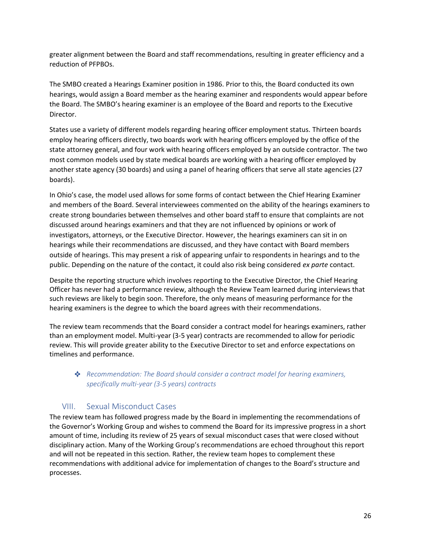greater alignment between the Board and staff recommendations, resulting in greater efficiency and a reduction of PFPBOs.

The SMBO created a Hearings Examiner position in 1986. Prior to this, the Board conducted its own hearings, would assign a Board member as the hearing examiner and respondents would appear before the Board. The SMBO's hearing examiner is an employee of the Board and reports to the Executive Director.

States use a variety of different models regarding hearing officer employment status. Thirteen boards employ hearing officers directly, two boards work with hearing officers employed by the office of the state attorney general, and four work with hearing officers employed by an outside contractor. The two most common models used by state medical boards are working with a hearing officer employed by another state agency (30 boards) and using a panel of hearing officers that serve all state agencies (27 boards).

In Ohio's case, the model used allows for some forms of contact between the Chief Hearing Examiner and members of the Board. Several interviewees commented on the ability of the hearings examiners to create strong boundaries between themselves and other board staff to ensure that complaints are not discussed around hearings examiners and that they are not influenced by opinions or work of investigators, attorneys, or the Executive Director. However, the hearings examiners can sit in on hearings while their recommendations are discussed, and they have contact with Board members outside of hearings. This may present a risk of appearing unfair to respondents in hearings and to the public. Depending on the nature of the contact, it could also risk being considered *ex parte* contact.

Despite the reporting structure which involves reporting to the Executive Director, the Chief Hearing Officer has never had a performance review, although the Review Team learned during interviews that such reviews are likely to begin soon. Therefore, the only means of measuring performance for the hearing examiners is the degree to which the board agrees with their recommendations.

The review team recommends that the Board consider a contract model for hearings examiners, rather than an employment model. Multi-year (3-5 year) contracts are recommended to allow for periodic review. This will provide greater ability to the Executive Director to set and enforce expectations on timelines and performance.

## *Recommendation: The Board should consider a contract model for hearing examiners, specifically multi-year (3-5 years) contracts*

## VIII. Sexual Misconduct Cases

<span id="page-25-0"></span>The review team has followed progress made by the Board in implementing the recommendations of the Governor's Working Group and wishes to commend the Board for its impressive progress in a short amount of time, including its review of 25 years of sexual misconduct cases that were closed without disciplinary action. Many of the Working Group's recommendations are echoed throughout this report and will not be repeated in this section. Rather, the review team hopes to complement these recommendations with additional advice for implementation of changes to the Board's structure and processes.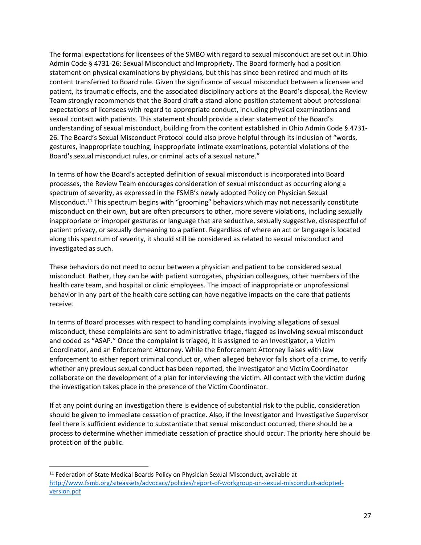The formal expectations for licensees of the SMBO with regard to sexual misconduct are set out in Ohio Admin Code § 4731-26: Sexual Misconduct and Impropriety. The Board formerly had a position statement on physical examinations by physicians, but this has since been retired and much of its content transferred to Board rule. Given the significance of sexual misconduct between a licensee and patient, its traumatic effects, and the associated disciplinary actions at the Board's disposal, the Review Team strongly recommends that the Board draft a stand-alone position statement about professional expectations of licensees with regard to appropriate conduct, including physical examinations and sexual contact with patients. This statement should provide a clear statement of the Board's understanding of sexual misconduct, building from the content established in Ohio Admin Code § 4731- 26. The Board's Sexual Misconduct Protocol could also prove helpful through its inclusion of "words, gestures, inappropriate touching, inappropriate intimate examinations, potential violations of the Board's sexual misconduct rules, or criminal acts of a sexual nature."

In terms of how the Board's accepted definition of sexual misconduct is incorporated into Board processes, the Review Team encourages consideration of sexual misconduct as occurring along a spectrum of severity, as expressed in the FSMB's newly adopted Policy on Physician Sexual Misconduct.<sup>11</sup> This spectrum begins with "grooming" behaviors which may not necessarily constitute misconduct on their own, but are often precursors to other, more severe violations, including sexually inappropriate or improper gestures or language that are seductive, sexually suggestive, disrespectful of patient privacy, or sexually demeaning to a patient. Regardless of where an act or language is located along this spectrum of severity, it should still be considered as related to sexual misconduct and investigated as such.

These behaviors do not need to occur between a physician and patient to be considered sexual misconduct. Rather, they can be with patient surrogates, physician colleagues, other members of the health care team, and hospital or clinic employees. The impact of inappropriate or unprofessional behavior in any part of the health care setting can have negative impacts on the care that patients receive.

In terms of Board processes with respect to handling complaints involving allegations of sexual misconduct, these complaints are sent to administrative triage, flagged as involving sexual misconduct and coded as "ASAP." Once the complaint is triaged, it is assigned to an Investigator, a Victim Coordinator, and an Enforcement Attorney. While the Enforcement Attorney liaises with law enforcement to either report criminal conduct or, when alleged behavior falls short of a crime, to verify whether any previous sexual conduct has been reported, the Investigator and Victim Coordinator collaborate on the development of a plan for interviewing the victim. All contact with the victim during the investigation takes place in the presence of the Victim Coordinator.

If at any point during an investigation there is evidence of substantial risk to the public, consideration should be given to immediate cessation of practice. Also, if the Investigator and Investigative Supervisor feel there is sufficient evidence to substantiate that sexual misconduct occurred, there should be a process to determine whether immediate cessation of practice should occur. The priority here should be protection of the public.

<sup>11</sup> Federation of State Medical Boards Policy on Physician Sexual Misconduct, available at [http://www.fsmb.org/siteassets/advocacy/policies/report-of-workgroup-on-sexual-misconduct-adopted](http://www.fsmb.org/siteassets/advocacy/policies/report-of-workgroup-on-sexual-misconduct-adopted-version.pdf)[version.pdf](http://www.fsmb.org/siteassets/advocacy/policies/report-of-workgroup-on-sexual-misconduct-adopted-version.pdf)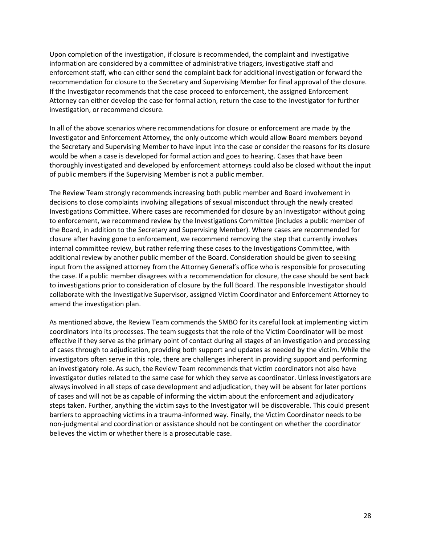Upon completion of the investigation, if closure is recommended, the complaint and investigative information are considered by a committee of administrative triagers, investigative staff and enforcement staff, who can either send the complaint back for additional investigation or forward the recommendation for closure to the Secretary and Supervising Member for final approval of the closure. If the Investigator recommends that the case proceed to enforcement, the assigned Enforcement Attorney can either develop the case for formal action, return the case to the Investigator for further investigation, or recommend closure.

In all of the above scenarios where recommendations for closure or enforcement are made by the Investigator and Enforcement Attorney, the only outcome which would allow Board members beyond the Secretary and Supervising Member to have input into the case or consider the reasons for its closure would be when a case is developed for formal action and goes to hearing. Cases that have been thoroughly investigated and developed by enforcement attorneys could also be closed without the input of public members if the Supervising Member is not a public member.

The Review Team strongly recommends increasing both public member and Board involvement in decisions to close complaints involving allegations of sexual misconduct through the newly created Investigations Committee. Where cases are recommended for closure by an Investigator without going to enforcement, we recommend review by the Investigations Committee (includes a public member of the Board, in addition to the Secretary and Supervising Member). Where cases are recommended for closure after having gone to enforcement, we recommend removing the step that currently involves internal committee review, but rather referring these cases to the Investigations Committee, with additional review by another public member of the Board. Consideration should be given to seeking input from the assigned attorney from the Attorney General's office who is responsible for prosecuting the case. If a public member disagrees with a recommendation for closure, the case should be sent back to investigations prior to consideration of closure by the full Board. The responsible Investigator should collaborate with the Investigative Supervisor, assigned Victim Coordinator and Enforcement Attorney to amend the investigation plan.

As mentioned above, the Review Team commends the SMBO for its careful look at implementing victim coordinators into its processes. The team suggests that the role of the Victim Coordinator will be most effective if they serve as the primary point of contact during all stages of an investigation and processing of cases through to adjudication, providing both support and updates as needed by the victim. While the investigators often serve in this role, there are challenges inherent in providing support and performing an investigatory role. As such, the Review Team recommends that victim coordinators not also have investigator duties related to the same case for which they serve as coordinator. Unless investigators are always involved in all steps of case development and adjudication, they will be absent for later portions of cases and will not be as capable of informing the victim about the enforcement and adjudicatory steps taken. Further, anything the victim says to the Investigator will be discoverable. This could present barriers to approaching victims in a trauma-informed way. Finally, the Victim Coordinator needs to be non-judgmental and coordination or assistance should not be contingent on whether the coordinator believes the victim or whether there is a prosecutable case.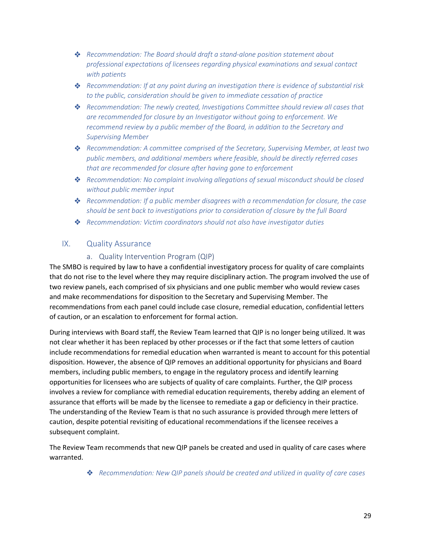- *Recommendation: The Board should draft a stand-alone position statement about professional expectations of licensees regarding physical examinations and sexual contact with patients*
- *Recommendation: If at any point during an investigation there is evidence of substantial risk to the public, consideration should be given to immediate cessation of practice*
- *Recommendation: The newly created, Investigations Committee should review all cases that are recommended for closure by an Investigator without going to enforcement. We recommend review by a public member of the Board, in addition to the Secretary and Supervising Member*
- *Recommendation: A committee comprised of the Secretary, Supervising Member, at least two public members, and additional members where feasible, should be directly referred cases that are recommended for closure after having gone to enforcement*
- *Recommendation: No complaint involving allegations of sexual misconduct should be closed without public member input*
- *Recommendation: If a public member disagrees with a recommendation for closure, the case should be sent back to investigations prior to consideration of closure by the full Board*
- *Recommendation: Victim coordinators should not also have investigator duties*

### <span id="page-28-0"></span>IX. Quality Assurance

### a. Quality Intervention Program (QIP)

<span id="page-28-1"></span>The SMBO is required by law to have a confidential investigatory process for quality of care complaints that do not rise to the level where they may require disciplinary action. The program involved the use of two review panels, each comprised of six physicians and one public member who would review cases and make recommendations for disposition to the Secretary and Supervising Member. The recommendations from each panel could include case closure, remedial education, confidential letters of caution, or an escalation to enforcement for formal action.

During interviews with Board staff, the Review Team learned that QIP is no longer being utilized. It was not clear whether it has been replaced by other processes or if the fact that some letters of caution include recommendations for remedial education when warranted is meant to account for this potential disposition. However, the absence of QIP removes an additional opportunity for physicians and Board members, including public members, to engage in the regulatory process and identify learning opportunities for licensees who are subjects of quality of care complaints. Further, the QIP process involves a review for compliance with remedial education requirements, thereby adding an element of assurance that efforts will be made by the licensee to remediate a gap or deficiency in their practice. The understanding of the Review Team is that no such assurance is provided through mere letters of caution, despite potential revisiting of educational recommendations if the licensee receives a subsequent complaint.

The Review Team recommends that new QIP panels be created and used in quality of care cases where warranted.

*Recommendation: New QIP panels should be created and utilized in quality of care cases*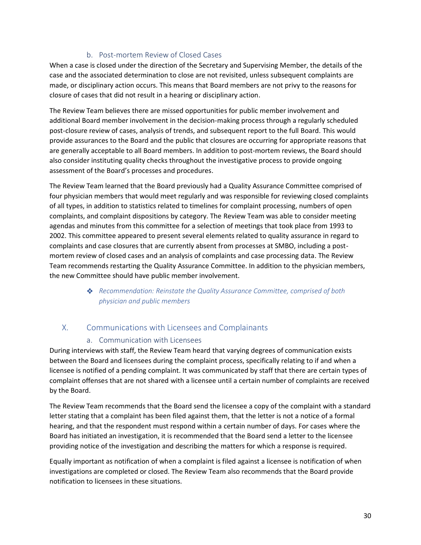## b. Post-mortem Review of Closed Cases

<span id="page-29-0"></span>When a case is closed under the direction of the Secretary and Supervising Member, the details of the case and the associated determination to close are not revisited, unless subsequent complaints are made, or disciplinary action occurs. This means that Board members are not privy to the reasons for closure of cases that did not result in a hearing or disciplinary action.

The Review Team believes there are missed opportunities for public member involvement and additional Board member involvement in the decision-making process through a regularly scheduled post-closure review of cases, analysis of trends, and subsequent report to the full Board. This would provide assurances to the Board and the public that closures are occurring for appropriate reasons that are generally acceptable to all Board members. In addition to post-mortem reviews, the Board should also consider instituting quality checks throughout the investigative process to provide ongoing assessment of the Board's processes and procedures.

The Review Team learned that the Board previously had a Quality Assurance Committee comprised of four physician members that would meet regularly and was responsible for reviewing closed complaints of all types, in addition to statistics related to timelines for complaint processing, numbers of open complaints, and complaint dispositions by category. The Review Team was able to consider meeting agendas and minutes from this committee for a selection of meetings that took place from 1993 to 2002. This committee appeared to present several elements related to quality assurance in regard to complaints and case closures that are currently absent from processes at SMBO, including a postmortem review of closed cases and an analysis of complaints and case processing data. The Review Team recommends restarting the Quality Assurance Committee. In addition to the physician members, the new Committee should have public member involvement.

## *Recommendation: Reinstate the Quality Assurance Committee, comprised of both physician and public members*

## <span id="page-29-1"></span>X. Communications with Licensees and Complainants

### a. Communication with Licensees

<span id="page-29-2"></span>During interviews with staff, the Review Team heard that varying degrees of communication exists between the Board and licensees during the complaint process, specifically relating to if and when a licensee is notified of a pending complaint. It was communicated by staff that there are certain types of complaint offenses that are not shared with a licensee until a certain number of complaints are received by the Board.

The Review Team recommends that the Board send the licensee a copy of the complaint with a standard letter stating that a complaint has been filed against them, that the letter is not a notice of a formal hearing, and that the respondent must respond within a certain number of days. For cases where the Board has initiated an investigation, it is recommended that the Board send a letter to the licensee providing notice of the investigation and describing the matters for which a response is required.

Equally important as notification of when a complaint is filed against a licensee is notification of when investigations are completed or closed. The Review Team also recommends that the Board provide notification to licensees in these situations.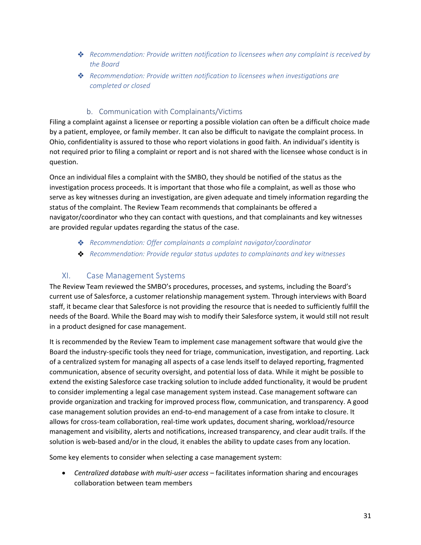- *Recommendation: Provide written notification to licensees when any complaint is received by the Board*
- *Recommendation: Provide written notification to licensees when investigations are completed or closed*

## b. Communication with Complainants/Victims

<span id="page-30-0"></span>Filing a complaint against a licensee or reporting a possible violation can often be a difficult choice made by a patient, employee, or family member. It can also be difficult to navigate the complaint process. In Ohio, confidentiality is assured to those who report violations in good faith. An individual's identity is not required prior to filing a complaint or report and is not shared with the licensee whose conduct is in question.

Once an individual files a complaint with the SMBO, they should be notified of the status as the investigation process proceeds. It is important that those who file a complaint, as well as those who serve as key witnesses during an investigation, are given adequate and timely information regarding the status of the complaint. The Review Team recommends that complainants be offered a navigator/coordinator who they can contact with questions, and that complainants and key witnesses are provided regular updates regarding the status of the case.

- *Recommendation: Offer complainants a complaint navigator/coordinator*
- *Recommendation: Provide regular status updates to complainants and key witnesses*

## <span id="page-30-1"></span>XI. Case Management Systems

The Review Team reviewed the SMBO's procedures, processes, and systems, including the Board's current use of Salesforce, a customer relationship management system. Through interviews with Board staff, it became clear that Salesforce is not providing the resource that is needed to sufficiently fulfill the needs of the Board. While the Board may wish to modify their Salesforce system, it would still not result in a product designed for case management.

It is recommended by the Review Team to implement case management software that would give the Board the industry-specific tools they need for triage, communication, investigation, and reporting. Lack of a centralized system for managing all aspects of a case lends itself to delayed reporting, fragmented communication, absence of security oversight, and potential loss of data. While it might be possible to extend the existing Salesforce case tracking solution to include added functionality, it would be prudent to consider implementing a legal case management system instead. Case management software can provide organization and tracking for improved process flow, communication, and transparency. A good case management solution provides an end-to-end management of a case from intake to closure. It allows for cross-team collaboration, real-time work updates, document sharing, workload/resource management and visibility, alerts and notifications, increased transparency, and clear audit trails. If the solution is web-based and/or in the cloud, it enables the ability to update cases from any location.

Some key elements to consider when selecting a case management system:

• *Centralized database with multi-user access* – facilitates information sharing and encourages collaboration between team members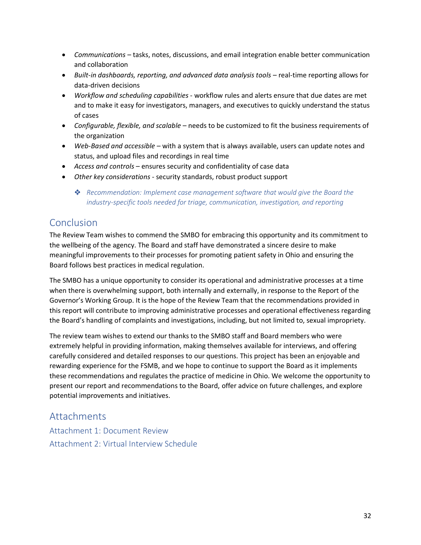- *Communications* tasks, notes, discussions, and email integration enable better communication and collaboration
- *Built-in dashboards, reporting, and advanced data analysis tools* real-time reporting allows for data-driven decisions
- *Workflow and scheduling capabilities* workflow rules and alerts ensure that due dates are met and to make it easy for investigators, managers, and executives to quickly understand the status of cases
- *Configurable, flexible, and scalable* needs to be customized to fit the business requirements of the organization
- *Web-Based and accessible* with a system that is always available, users can update notes and status, and upload files and recordings in real time
- *Access and controls* ensures security and confidentiality of case data
- *Other key considerations* security standards, robust product support
	- **❖** Recommendation: Implement case management software that would give the Board the *industry-specific tools needed for triage, communication, investigation, and reporting*

# <span id="page-31-0"></span>Conclusion

The Review Team wishes to commend the SMBO for embracing this opportunity and its commitment to the wellbeing of the agency. The Board and staff have demonstrated a sincere desire to make meaningful improvements to their processes for promoting patient safety in Ohio and ensuring the Board follows best practices in medical regulation.

The SMBO has a unique opportunity to consider its operational and administrative processes at a time when there is overwhelming support, both internally and externally, in response to the Report of the Governor's Working Group. It is the hope of the Review Team that the recommendations provided in this report will contribute to improving administrative processes and operational effectiveness regarding the Board's handling of complaints and investigations, including, but not limited to, sexual impropriety.

The review team wishes to extend our thanks to the SMBO staff and Board members who were extremely helpful in providing information, making themselves available for interviews, and offering carefully considered and detailed responses to our questions. This project has been an enjoyable and rewarding experience for the FSMB, and we hope to continue to support the Board as it implements these recommendations and regulates the practice of medicine in Ohio. We welcome the opportunity to present our report and recommendations to the Board, offer advice on future challenges, and explore potential improvements and initiatives.

## <span id="page-31-1"></span>**Attachments**

<span id="page-31-3"></span><span id="page-31-2"></span>Attachment 1: Document Review Attachment 2: Virtual Interview Schedule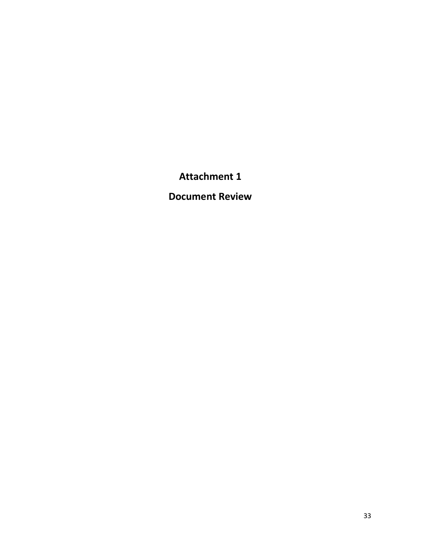# **Attachment 1**

**Document Review**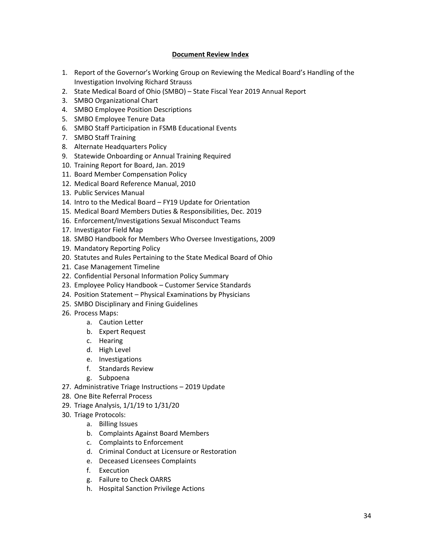#### **Document Review Index**

- 1. Report of the Governor's Working Group on Reviewing the Medical Board's Handling of the Investigation Involving Richard Strauss
- 2. State Medical Board of Ohio (SMBO) State Fiscal Year 2019 Annual Report
- 3. SMBO Organizational Chart
- 4. SMBO Employee Position Descriptions
- 5. SMBO Employee Tenure Data
- 6. SMBO Staff Participation in FSMB Educational Events
- 7. SMBO Staff Training
- 8. Alternate Headquarters Policy
- 9. Statewide Onboarding or Annual Training Required
- 10. Training Report for Board, Jan. 2019
- 11. Board Member Compensation Policy
- 12. Medical Board Reference Manual, 2010
- 13. Public Services Manual
- 14. Intro to the Medical Board FY19 Update for Orientation
- 15. Medical Board Members Duties & Responsibilities, Dec. 2019
- 16. Enforcement/Investigations Sexual Misconduct Teams
- 17. Investigator Field Map
- 18. SMBO Handbook for Members Who Oversee Investigations, 2009
- 19. Mandatory Reporting Policy
- 20. Statutes and Rules Pertaining to the State Medical Board of Ohio
- 21. Case Management Timeline
- 22. Confidential Personal Information Policy Summary
- 23. Employee Policy Handbook Customer Service Standards
- 24. Position Statement Physical Examinations by Physicians
- 25. SMBO Disciplinary and Fining Guidelines
- 26. Process Maps:
	- a. Caution Letter
	- b. Expert Request
	- c. Hearing
	- d. High Level
	- e. Investigations
	- f. Standards Review
	- g. Subpoena
- 27. Administrative Triage Instructions 2019 Update
- 28. One Bite Referral Process
- 29. Triage Analysis, 1/1/19 to 1/31/20
- 30. Triage Protocols:
	- a. Billing Issues
	- b. Complaints Against Board Members
	- c. Complaints to Enforcement
	- d. Criminal Conduct at Licensure or Restoration
	- e. Deceased Licensees Complaints
	- f. Execution
	- g. Failure to Check OARRS
	- h. Hospital Sanction Privilege Actions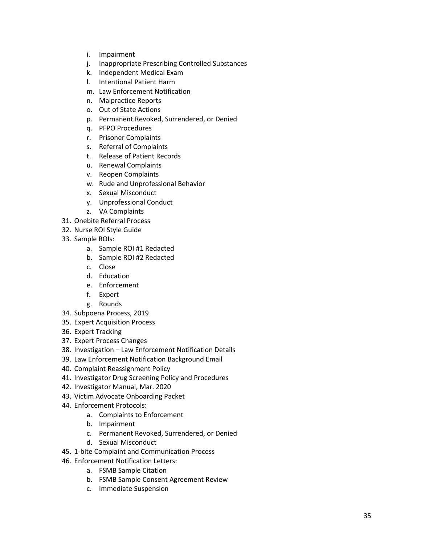- i. Impairment
- j. Inappropriate Prescribing Controlled Substances
- k. Independent Medical Exam
- l. Intentional Patient Harm
- m. Law Enforcement Notification
- n. Malpractice Reports
- o. Out of State Actions
- p. Permanent Revoked, Surrendered, or Denied
- q. PFPO Procedures
- r. Prisoner Complaints
- s. Referral of Complaints
- t. Release of Patient Records
- u. Renewal Complaints
- v. Reopen Complaints
- w. Rude and Unprofessional Behavior
- x. Sexual Misconduct
- y. Unprofessional Conduct
- z. VA Complaints
- 31. Onebite Referral Process
- 32. Nurse ROI Style Guide
- 33. Sample ROIs:
	- a. Sample ROI #1 Redacted
	- b. Sample ROI #2 Redacted
	- c. Close
	- d. Education
	- e. Enforcement
	- f. Expert
	- g. Rounds
- 34. Subpoena Process, 2019
- 35. Expert Acquisition Process
- 36. Expert Tracking
- 37. Expert Process Changes
- 38. Investigation Law Enforcement Notification Details
- 39. Law Enforcement Notification Background Email
- 40. Complaint Reassignment Policy
- 41. Investigator Drug Screening Policy and Procedures
- 42. Investigator Manual, Mar. 2020
- 43. Victim Advocate Onboarding Packet
- 44. Enforcement Protocols:
	- a. Complaints to Enforcement
	- b. Impairment
	- c. Permanent Revoked, Surrendered, or Denied
	- d. Sexual Misconduct
- 45. 1 -bite Complaint and Communication Process
- 46. Enforcement Notification Letters:
	- a. FSMB Sample Citation
	- b. FSMB Sample Consent Agreement Review
	- c. Immediate Suspension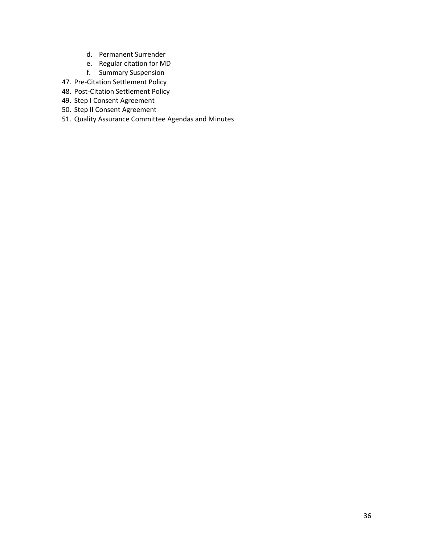- d. Permanent Surrender
- e. Regular citation for MD
- f. Summary Suspension
- 47. Pre-Citation Settlement Policy
- 48. Post-Citation Settlement Policy
- 49. Step I Consent Agreement
- 50. Step II Consent Agreement
- 51. Quality Assurance Committee Agendas and Minutes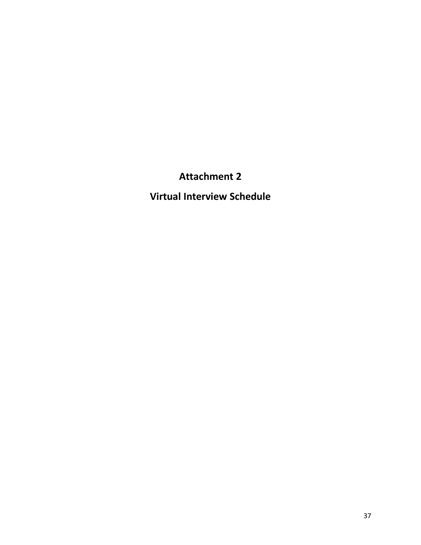# **Attachment 2**

**Virtual Interview Schedule**